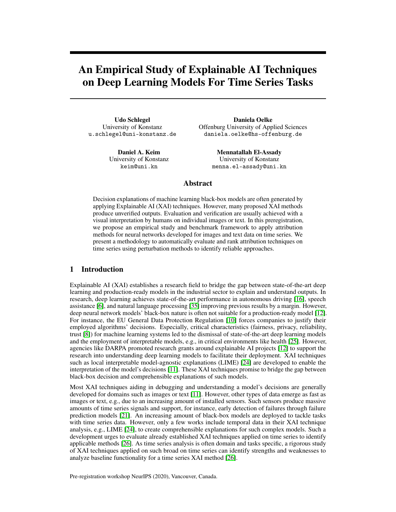# An Empirical Study of Explainable AI Techniques on Deep Learning Models For Time Series Tasks

Udo Schlegel University of Konstanz u.schlegel@uni-konstanz.de

> Daniel A. Keim University of Konstanz keim@uni.kn

Daniela Oelke Offenburg University of Applied Sciences daniela.oelke@hs-offenburg.de

> Mennatallah El-Assady University of Konstanz menna.el-assady@uni.kn

## Abstract

Decision explanations of machine learning black-box models are often generated by applying Explainable AI (XAI) techniques. However, many proposed XAI methods produce unverified outputs. Evaluation and verification are usually achieved with a visual interpretation by humans on individual images or text. In this preregistration, we propose an empirical study and benchmark framework to apply attribution methods for neural networks developed for images and text data on time series. We present a methodology to automatically evaluate and rank attribution techniques on time series using perturbation methods to identify reliable approaches.

## 1 Introduction

Explainable AI (XAI) establishes a research field to bridge the gap between state-of-the-art deep learning and production-ready models in the industrial sector to explain and understand outputs. In research, deep learning achieves state-of-the-art performance in autonomous driving [\[16\]](#page-5-0), speech assistance [\[6\]](#page-5-1), and natural language processing [\[35\]](#page-6-0) improving previous results by a margin. However, deep neural network models' black-box nature is often not suitable for a production-ready model [\[12\]](#page-5-2). For instance, the EU General Data Protection Regulation [\[10\]](#page-5-3) forces companies to justify their employed algorithms' decisions. Especially, critical characteristics (fairness, privacy, reliability, trust [\[8\]](#page-5-4)) for machine learning systems led to the dismissal of state-of-the-art deep learning models and the employment of interpretable models, e.g., in critical environments like health [\[25\]](#page-6-1). However, agencies like DARPA promoted research grants around explainable AI projects [\[12\]](#page-5-2) to support the research into understanding deep learning models to facilitate their deployment. XAI techniques such as local interpretable model-agnostic explanations (LIME) [\[24\]](#page-6-2) are developed to enable the interpretation of the model's decisions [\[11\]](#page-5-5). These XAI techniques promise to bridge the gap between black-box decision and comprehensible explanations of such models.

Most XAI techniques aiding in debugging and understanding a model's decisions are generally developed for domains such as images or text [\[11\]](#page-5-5). However, other types of data emerge as fast as images or text, e.g., due to an increasing amount of installed sensors. Such sensors produce massive amounts of time series signals and support, for instance, early detection of failures through failure prediction models [\[21\]](#page-6-3). An increasing amount of black-box models are deployed to tackle tasks with time series data. However, only a few works include temporal data in their XAI technique analysis, e.g., LIME [\[24\]](#page-6-2), to create comprehensible explanations for such complex models. Such a development urges to evaluate already established XAI techniques applied on time series to identify applicable methods [\[26\]](#page-6-4). As time series analysis is often domain and tasks specific, a rigorous study of XAI techniques applied on such broad on time series can identify strengths and weaknesses to analyze baseline functionality for a time series XAI method [\[26\]](#page-6-4).

Pre-registration workshop NeurIPS (2020), Vancouver, Canada.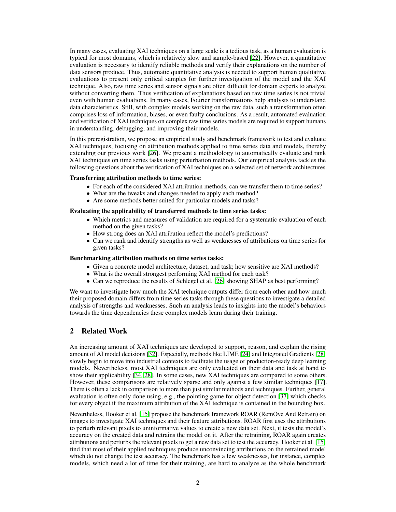In many cases, evaluating XAI techniques on a large scale is a tedious task, as a human evaluation is typical for most domains, which is relatively slow and sample-based [\[22\]](#page-6-5). However, a quantitative evaluation is necessary to identify reliable methods and verify their explanations on the number of data sensors produce. Thus, automatic quantitative analysis is needed to support human qualitative evaluations to present only critical samples for further investigation of the model and the XAI technique. Also, raw time series and sensor signals are often difficult for domain experts to analyze without converting them. Thus verification of explanations based on raw time series is not trivial even with human evaluations. In many cases, Fourier transformations help analysts to understand data characteristics. Still, with complex models working on the raw data, such a transformation often comprises loss of information, biases, or even faulty conclusions. As a result, automated evaluation and verification of XAI techniques on complex raw time series models are required to support humans in understanding, debugging, and improving their models.

In this preregistration, we propose an empirical study and benchmark framework to test and evaluate XAI techniques, focusing on attribution methods applied to time series data and models, thereby extending our previous work [\[26\]](#page-6-4). We present a methodology to automatically evaluate and rank XAI techniques on time series tasks using perturbation methods. Our empirical analysis tackles the following questions about the verification of XAI techniques on a selected set of network architectures.

#### Transferring attribution methods to time series:

- For each of the considered XAI attribution methods, can we transfer them to time series?
- What are the tweaks and changes needed to apply each method?
- Are some methods better suited for particular models and tasks?

#### Evaluating the applicability of transferred methods to time series tasks:

- Which metrics and measures of validation are required for a systematic evaluation of each method on the given tasks?
- How strong does an XAI attribution reflect the model's predictions?
- Can we rank and identify strengths as well as weaknesses of attributions on time series for given tasks?

#### Benchmarking attribution methods on time series tasks:

- Given a concrete model architecture, dataset, and task; how sensitive are XAI methods?
- What is the overall strongest performing XAI method for each task?
- Can we reproduce the results of Schlegel et al. [\[26\]](#page-6-4) showing SHAP as best performing?

We want to investigate how much the XAI technique outputs differ from each other and how much their proposed domain differs from time series tasks through these questions to investigate a detailed analysis of strengths and weaknesses. Such an analysis leads to insights into the model's behaviors towards the time dependencies these complex models learn during their training.

## 2 Related Work

An increasing amount of XAI techniques are developed to support, reason, and explain the rising amount of AI model decisions [\[32\]](#page-6-6). Especially, methods like LIME [\[24\]](#page-6-2) and Integrated Gradients [\[28\]](#page-6-7) slowly begin to move into industrial contexts to facilitate the usage of production-ready deep learning models. Nevertheless, most XAI techniques are only evaluated on their data and task at hand to show their applicability [\[34,](#page-6-8) [28\]](#page-6-7). In some cases, new XAI techniques are compared to some others. However, these comparisons are relatively sparse and only against a few similar techniques [\[17\]](#page-5-6). There is often a lack in comparison to more than just similar methods and techniques. Further, general evaluation is often only done using, e.g., the pointing game for object detection [\[37\]](#page-6-9) which checks for every object if the maximum attribution of the XAI technique is contained in the bounding box.

Nevertheless, Hooker et al. [\[15\]](#page-5-7) propose the benchmark framework ROAR (RemOve And Retrain) on images to investigate XAI techniques and their feature attributions. ROAR first uses the attributions to perturb relevant pixels to uninformative values to create a new data set. Next, it tests the model's accuracy on the created data and retrains the model on it. After the retraining, ROAR again creates attributions and perturbs the relevant pixels to get a new data set to test the accuracy. Hooker et al. [\[15\]](#page-5-7) find that most of their applied techniques produce unconvincing attributions on the retrained model which do not change the test accuracy. The benchmark has a few weaknesses, for instance, complex models, which need a lot of time for their training, are hard to analyze as the whole benchmark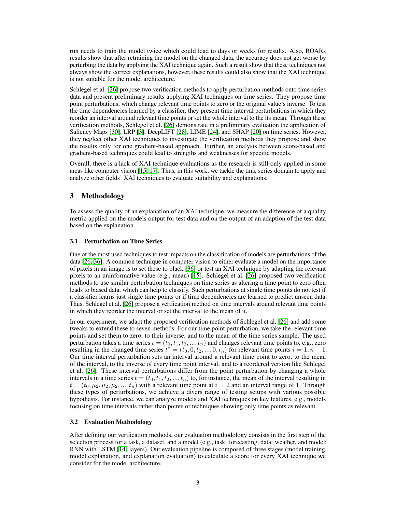run needs to train the model twice which could lead to days or weeks for results. Also, ROARs results show that after retraining the model on the changed data, the accuracy does not get worse by perturbing the data by applying the XAI technique again. Such a result show that these techniques not always show the correct explanations, however, these results could also show that the XAI technique is not suitable for the model architecture.

Schlegel et al. [\[26\]](#page-6-4) propose two verification methods to apply perturbation methods onto time series data and present preliminary results applying XAI techniques on time series. They propose time point perturbations, which change relevant time points to zero or the original value's inverse. To test the time dependencies learned by a classifier, they present time interval perturbations in which they reorder an interval around relevant time points or set the whole interval to the its mean. Through these verification methods, Schlegel et al. [\[26\]](#page-6-4) demonstrate in a preliminary evaluation the application of Saliency Maps [\[30\]](#page-6-10), LRP [\[3\]](#page-5-8), DeepLIFT [\[28\]](#page-6-7), LIME [\[24\]](#page-6-2), and SHAP [\[20\]](#page-6-11) on time series. However, they neglect other XAI techniques to investigate the verification methods they propose and show the results only for one gradient-based approach. Further, an analysis between score-based and gradient-based techniques could lead to strengths and weaknesses for specific models.

Overall, there is a lack of XAI technique evaluations as the research is still only applied in some areas like computer vision [\[15,](#page-5-7) [17\]](#page-5-6). Thus, in this work, we tackle the time series domain to apply and analyze other fields' XAI techniques to evaluate suitability and explanations.

## 3 Methodology

To assess the quality of an explanation of an XAI technique, we measure the difference of a quality metric applied on the models output for test data and on the output of an adaption of the test data based on the explanation.

#### 3.1 Perturbation on Time Series

One of the most used techniques to test impacts on the classification of models are perturbations of the data [\[26,](#page-6-4) [36\]](#page-6-12). A common technique in computer vision to either evaluate a model on the importance of pixels in an image is to set these to black [\[36\]](#page-6-12) or test an XAI technique by adapting the relevant pixels to an uninformative value (e.g., mean) [\[15\]](#page-5-7). Schlegel et al. [\[26\]](#page-6-4) proposed two verification methods to use similar perturbation techniques on time series as altering a time point to zero often leads to biased data, which can help to classify. Such perturbations at single time points do not test if a classifier learns just single time points or if time dependencies are learned to predict unseen data. Thus, Schlegel et al. [\[26\]](#page-6-4) propose a verification method on time intervals around relevant time points in which they reorder the interval or set the interval to the mean of it.

In our experiment, we adapt the proposed verification methods of Schlegel et al. [\[26\]](#page-6-4) and add some tweaks to extend these to seven methods. For our time point perturbation, we take the relevant time points and set them to zero, to their inverse, and to the mean of the time series sample. The used perturbation takes a time series  $t = (t_0, t_1, t_2, ..., t_n)$  and changes relevant time points to, e.g., zero resulting in the changed time series  $t^c = (t_0, 0, t_2, ..., 0, t_n)$  for relevant time points  $i = 1, n - 1$ . Our time interval perturbation sets an interval around a relevant time point to zero, to the mean of the interval, to the inverse of every time point interval, and to a reordered version like Schlegel et al. [\[26\]](#page-6-4). These interval perturbations differ from the point perturbation by changing a whole intervals in a time series  $t = (t_0, t_1, t_2, ..., t_n)$  to, for instance, the mean of the interval resulting in  $t = (t_0, \mu_2, \mu_2, \mu_3, \ldots, t_n)$  with a relevant time point at  $i = 2$  and an interval range of 1. Through these types of perturbations, we achieve a divers range of testing setups with various possible hypothesis. For instance, we can analyze models and XAI techniques on key features, e.g., models focusing on time intervals rather than points or techniques showing only time points as relevant.

#### 3.2 Evaluation Methodology

After defining our verification methods, our evaluation methodology consists in the first step of the selection process for a task, a dataset, and a model (e.g., task: forecasting, data: weather, and model: RNN with LSTM [\[14\]](#page-5-9) layers). Our evaluation pipeline is composed of three stages (model training, model explanation, and explanation evaluation) to calculate a score for every XAI technique we consider for the model architecture.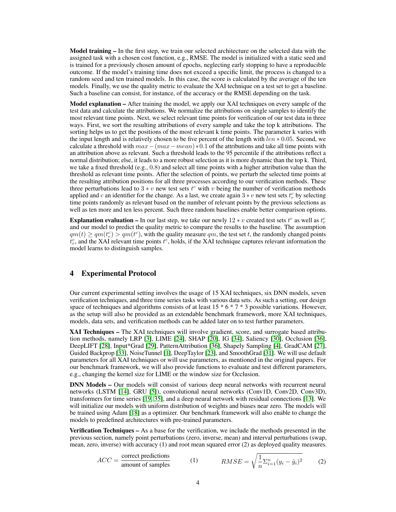**Model training –** In the first step, we train our selected architecture on the selected data with the assigned task with a chosen cost function, e.g., RMSE. The model is initialized with a static seed and is trained for a previously chosen amount of epochs, neglecting early stopping to have a reproducible outcome. If the model's training time does not exceed a specific limit, the process is changed to a random seed and ten trained models. In this case, the score is calculated by the average of the ten models. Finally, we use the quality metric to evaluate the XAI technique on a test set to get a baseline. Such a baseline can consist, for instance, of the accuracy or the RMSE depending on the task.

Model explanation – After training the model, we apply our XAI techniques on every sample of the test data and calculate the attributions. We normalize the attributions on single samples to identify the most relevant time points. Next, we select relevant time points for verification of our test data in three ways. First, we sort the resulting attributions of every sample and take the top k attributions. The sorting helps us to get the positions of the most relevant k time points. The parameter k varies with the input length and is relatively chosen to be five percent of the length with  $len * 0.05$ . Second, we calculate a threshold with  $max-(max-mean)*0.1$  of the attributions and take all time points with an attribution above as relevant. Such a threshold leads to the 95 percentile if the attributions reflect a normal distribution; else, it leads to a more robust selection as it is more dynamic than the top k. Third, we take a fixed threshold (e.g.,  $(0.8)$ ) and select all time points with a higher attribution value than the threshold as relevant time points. After the selection of points, we perturb the selected time points at the resulting attribution positions for all three processes according to our verification methods. These three perturbations lead to 3  $* v$  new test sets  $t^c$  with v being the number of verification methods applied and c an identifier for the change. As a last, we create again  $3*v$  new test sets  $t_r^c$  by selecting time points randomly as relevant based on the number of relevant points by the previous selections as well as ten more and ten less percent. Such three random baselines enable better comparison options.

**Explanation evaluation –** In our last step, we take our newly 12  $* v$  created test sets  $t^c$  as well as  $t_r^c$ and our model to predict the quality metric to compare the results to the baseline. The assumption  $qm(t) \geq qm(t<sup>c</sup>) > qm(t<sup>c</sup>)$ , with the quality measure qm, the test set t, the randomly changed points  $t_r^c$ , and the XAI relevant time points  $t^c$ , holds, if the XAI technique captures relevant information the model learns to distinguish samples.

## 4 Experimental Protocol

Our current experimental setting involves the usage of 15 XAI techniques, six DNN models, seven verification techniques, and three time series tasks with various data sets. As such a setting, our design space of techniques and algorithms consists of at least  $15 * 6 * 7 * 3$  possible variations. However, as the setup will also be provided as an extendable benchmark framework, more XAI techniques, models, data sets, and verification methods can be added later on to test further parameters.

XAI Techniques – The XAI techniques will involve gradient, score, and surrogate based attribution methods, namely LRP [\[3\]](#page-5-8), LIME [\[24\]](#page-6-2), SHAP [\[20\]](#page-6-11), IG [\[34\]](#page-6-8), Saliency [\[30\]](#page-6-10), Occlusion [\[36\]](#page-6-12), DeepLIFT [\[28\]](#page-6-7), Input\*Grad [\[29\]](#page-6-13), PatternAttribution [\[36\]](#page-6-12), Shapely Sampling [\[4\]](#page-5-10), GradCAM [\[27\]](#page-6-14), Guided Backprop [\[33\]](#page-6-15), NoiseTunnel [\[1\]](#page-5-11), DeepTaylor [\[23\]](#page-6-16), and SmoothGrad [\[31\]](#page-6-17). We will use default parameters for all XAI techniques or will use parameters, as mentioned in the original papers. For our benchmark framework, we will also provide functions to evaluate and test different parameters, e.g., changing the kernel size for LIME or the window size for Occlusion.

DNN Models – Our models will consist of various deep neural networks with recurrent neural networks (LSTM [\[14\]](#page-5-9), GRU [\[5\]](#page-5-12)), convolutional neural networks (Conv1D, Conv2D, Conv3D), transformers for time series [\[19,](#page-6-18) [35\]](#page-6-0), and a deep neural network with residual connections [\[13\]](#page-5-13). We will initialize our models with uniform distribution of weights and biases near zero. The models will be trained using Adam [\[18\]](#page-5-14) as a optimizer. Our benchmark framework will also enable to change the models to predefined architectures with pre-trained parameters.

Verification Techniques – As a base for the verification, we include the methods presented in the previous section, namely point perturbations (zero, inverse, mean) and interval perturbations (swap, mean, zero, inverse) with accuracy (1) and root mean squared error (2) as deployed quality measures.

$$
ACC = \frac{\text{correct predictions}}{\text{amount of samples}} \qquad (1) \qquad RMSE = \sqrt{\frac{1}{n} \sum_{i=1}^{n} (y_i - \hat{y}_i)^2} \qquad (2)
$$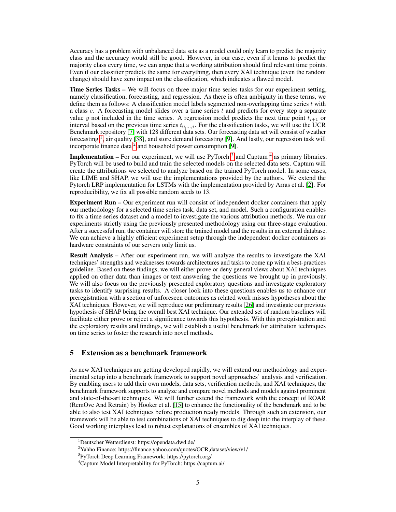Accuracy has a problem with unbalanced data sets as a model could only learn to predict the majority class and the accuracy would still be good. However, in our case, even if it learns to predict the majority class every time, we can argue that a working attribution should find relevant time points. Even if our classifier predicts the same for everything, then every XAI technique (even the random change) should have zero impact on the classification, which indicates a flawed model.

Time Series Tasks – We will focus on three major time series tasks for our experiment setting, namely classification, forecasting, and regression. As there is often ambiguity in these terms, we define them as follows: A classification model labels segmented non-overlapping time series  $t$  with a class c. A forecasting model slides over a time series  $t$  and predicts for every step a separate value y not included in the time series. A regression model predicts the next time point  $t_{i+1}$  or interval based on the previous time series  $t_{0,\dots,i}$ . For the classification tasks, we will use the UCR Benchmark repository [\[7\]](#page-5-15) with 128 different data sets. Our forecasting data set will consist of weather forecasting <sup>[1](#page-4-0)</sup>, air quality [\[38\]](#page-6-19), and store demand forecasting [\[9\]](#page-5-16). And lastly, our regression task will incorporate finance data  $2$  and household power consumption [\[9\]](#page-5-16).

**Implementation –** For our experiment, we will use PyTorch<sup>[3](#page-4-2)</sup> and Captum<sup>[4](#page-4-3)</sup> as primary libraries. PyTorch will be used to build and train the selected models on the selected data sets. Captum will create the attributions we selected to analyze based on the trained PyTorch model. In some cases, like LIME and SHAP, we will use the implementations provided by the authors. We extend the Pytorch LRP implementation for LSTMs with the implementation provided by Arras et al. [\[2\]](#page-5-17). For reproducibility, we fix all possible random seeds to 13.

Experiment Run – Our experiment run will consist of independent docker containers that apply our methodology for a selected time series task, data set, and model. Such a configuration enables to fix a time series dataset and a model to investigate the various attribution methods. We run our experiments strictly using the previously presented methodology using our three-stage evaluation. After a successful run, the container will store the trained model and the results in an external database. We can achieve a highly efficient experiment setup through the independent docker containers as hardware constraints of our servers only limit us.

Result Analysis – After our experiment run, we will analyze the results to investigate the XAI techniques' strengths and weaknesses towards architectures and tasks to come up with a best-practices guideline. Based on these findings, we will either prove or deny general views about XAI techniques applied on other data than images or text answering the questions we brought up in previously. We will also focus on the previously presented exploratory questions and investigate exploratory tasks to identify surprising results. A closer look into these questions enables us to enhance our preregistration with a section of unforeseen outcomes as related work misses hypotheses about the XAI techniques. However, we will reproduce our preliminary results [\[26\]](#page-6-4) and investigate our previous hypothesis of SHAP being the overall best XAI technique. Our extended set of random baselines will facilitate either prove or reject a significance towards this hypothesis. With this preregistration and the exploratory results and findings, we will establish a useful benchmark for attribution techniques on time series to foster the research into novel methods.

## 5 Extension as a benchmark framework

As new XAI techniques are getting developed rapidly, we will extend our methodology and experimental setup into a benchmark framework to support novel approaches' analysis and verification. By enabling users to add their own models, data sets, verification methods, and XAI techniques, the benchmark framework supports to analyze and compare novel methods and models against prominent and state-of-the-art techniques. We will further extend the framework with the concept of ROAR (RemOve And Retrain) by Hooker et al. [\[15\]](#page-5-7) to enhance the functionality of the benchmark and to be able to also test XAI techniques before production ready models. Through such an extension, our framework will be able to test combinations of XAI techniques to dig deep into the interplay of these. Good working interplays lead to robust explanations of ensembles of XAI techniques.

<span id="page-4-0"></span><sup>1</sup>Deutscher Wetterdienst: https://opendata.dwd.de/

<span id="page-4-1"></span><sup>2</sup>Yahho Finance: https://finance.yahoo.com/quotes/OCR,dataset/view/v1/

<span id="page-4-2"></span><sup>3</sup> PyTorch Deep Learning Framework: https://pytorch.org/

<span id="page-4-3"></span><sup>4</sup>Captum Model Interpretability for PyTorch: https://captum.ai/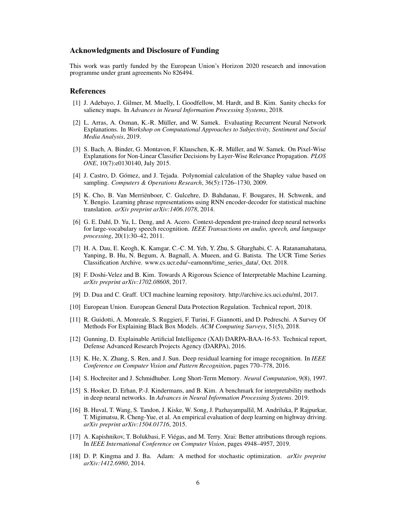### Acknowledgments and Disclosure of Funding

This work was partly funded by the European Union's Horizon 2020 research and innovation programme under grant agreements No 826494.

#### References

- <span id="page-5-11"></span>[1] J. Adebayo, J. Gilmer, M. Muelly, I. Goodfellow, M. Hardt, and B. Kim. Sanity checks for saliency maps. In *Advances in Neural Information Processing Systems*, 2018.
- <span id="page-5-17"></span>[2] L. Arras, A. Osman, K.-R. Müller, and W. Samek. Evaluating Recurrent Neural Network Explanations. In *Workshop on Computational Approaches to Subjectivity, Sentiment and Social Media Analysis*, 2019.
- <span id="page-5-8"></span>[3] S. Bach, A. Binder, G. Montavon, F. Klauschen, K.-R. Müller, and W. Samek. On Pixel-Wise Explanations for Non-Linear Classifier Decisions by Layer-Wise Relevance Propagation. *PLOS ONE*, 10(7):e0130140, July 2015.
- <span id="page-5-10"></span>[4] J. Castro, D. Gómez, and J. Tejada. Polynomial calculation of the Shapley value based on sampling. *Computers & Operations Research*, 36(5):1726–1730, 2009.
- <span id="page-5-12"></span>[5] K. Cho, B. Van Merriënboer, C. Gulcehre, D. Bahdanau, F. Bougares, H. Schwenk, and Y. Bengio. Learning phrase representations using RNN encoder-decoder for statistical machine translation. *arXiv preprint arXiv:1406.1078*, 2014.
- <span id="page-5-1"></span>[6] G. E. Dahl, D. Yu, L. Deng, and A. Acero. Context-dependent pre-trained deep neural networks for large-vocabulary speech recognition. *IEEE Transactions on audio, speech, and language processing*, 20(1):30–42, 2011.
- <span id="page-5-15"></span>[7] H. A. Dau, E. Keogh, K. Kamgar, C.-C. M. Yeh, Y. Zhu, S. Gharghabi, C. A. Ratanamahatana, Yanping, B. Hu, N. Begum, A. Bagnall, A. Mueen, and G. Batista. The UCR Time Series Classification Archive. www.cs.ucr.edu/~eamonn/time\_series\_data/, Oct. 2018.
- <span id="page-5-4"></span>[8] F. Doshi-Velez and B. Kim. Towards A Rigorous Science of Interpretable Machine Learning. *arXiv preprint arXiv:1702.08608*, 2017.
- <span id="page-5-16"></span>[9] D. Dua and C. Graff. UCI machine learning repository. http://archive.ics.uci.edu/ml, 2017.
- <span id="page-5-3"></span>[10] European Union. European General Data Protection Regulation. Technical report, 2018.
- <span id="page-5-5"></span>[11] R. Guidotti, A. Monreale, S. Ruggieri, F. Turini, F. Giannotti, and D. Pedreschi. A Survey Of Methods For Explaining Black Box Models. *ACM Computing Surveys*, 51(5), 2018.
- <span id="page-5-2"></span>[12] Gunning, D. Explainable Artificial Intelligence (XAI) DARPA-BAA-16-53. Technical report, Defense Advanced Research Projects Agency (DARPA), 2016.
- <span id="page-5-13"></span>[13] K. He, X. Zhang, S. Ren, and J. Sun. Deep residual learning for image recognition. In *IEEE Conference on Computer Vision and Pattern Recognition*, pages 770–778, 2016.
- <span id="page-5-9"></span>[14] S. Hochreiter and J. Schmidhuber. Long Short-Term Memory. *Neural Computation*, 9(8), 1997.
- <span id="page-5-7"></span>[15] S. Hooker, D. Erhan, P.-J. Kindermans, and B. Kim. A benchmark for interpretability methods in deep neural networks. In *Advances in Neural Information Processing Systems*. 2019.
- <span id="page-5-0"></span>[16] B. Huval, T. Wang, S. Tandon, J. Kiske, W. Song, J. Pazhayampallil, M. Andriluka, P. Rajpurkar, T. Migimatsu, R. Cheng-Yue, et al. An empirical evaluation of deep learning on highway driving. *arXiv preprint arXiv:1504.01716*, 2015.
- <span id="page-5-6"></span>[17] A. Kapishnikov, T. Bolukbasi, F. Viégas, and M. Terry. Xrai: Better attributions through regions. In *IEEE International Conference on Computer Vision*, pages 4948–4957, 2019.
- <span id="page-5-14"></span>[18] D. P. Kingma and J. Ba. Adam: A method for stochastic optimization. *arXiv preprint arXiv:1412.6980*, 2014.